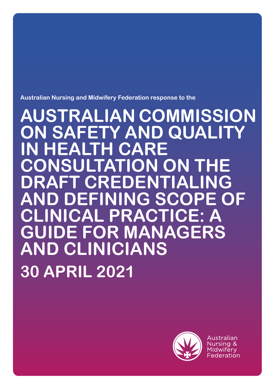**Australian Nursing and Midwifery Federation response to the** 

**AUSTRALIAN COMMISSION ON SAFETY AND QUALITY ALTH CARE CONSULTATION ON THE DRAFT CREDENTIALING AND DEFINING SCOPE OF CLINICAL PRACTICE: A E FOR MANAGERS AND CLINICIANS 30 APRIL 2021**



Australian Nursing & Midwiferv Federation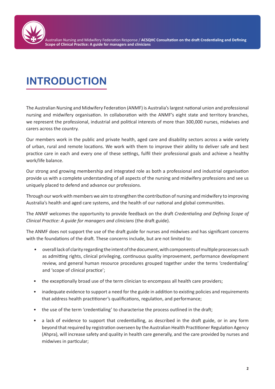

# **INTRODUCTION**

The Australian Nursing and Midwifery Federation (ANMF) is Australia's largest national union and professional nursing and midwifery organisation. In collaboration with the ANMF's eight state and territory branches, we represent the professional, industrial and political interests of more than 300,000 nurses, midwives and carers across the country.

Our members work in the public and private health, aged care and disability sectors across a wide variety of urban, rural and remote locations. We work with them to improve their ability to deliver safe and best practice care in each and every one of these settings, fulfil their professional goals and achieve a healthy work/life balance.

Our strong and growing membership and integrated role as both a professional and industrial organisation provide us with a complete understanding of all aspects of the nursing and midwifery professions and see us uniquely placed to defend and advance our professions.

Through our work with members we aim to strengthen the contribution of nursing and midwifery to improving Australia's health and aged care systems, and the health of our national and global communities.

The ANMF welcomes the opportunity to provide feedback on the draft *Credentialing and Defining Scope of Clinical Practice: A guide for managers and clinicians* (the draft guide).

The ANMF does not support the use of the draft guide for nurses and midwives and has significant concerns with the foundations of the draft. These concerns include, but are not limited to:

- overall lack of clarity regarding the intent of the document, with components of multiple processes such as admitting rights, clinical privileging, continuous quality improvement, performance development review, and general human resource procedures grouped together under the terms 'credentialing' and 'scope of clinical practice';
- the exceptionally broad use of the term clinician to encompass all health care providers;
- inadequate evidence to support a need for the guide in addition to existing policies and requirements that address health practitioner's qualifications, regulation, and performance;
- the use of the term 'credentialing' to characterise the process outlined in the draft;
- a lack of evidence to support that credentialling, as described in the draft guide, or in any form beyond that required by registration overseen by the Australian Health Practitioner Regulation Agency (Ahpra), will increase safety and quality in health care generally, and the care provided by nurses and midwives in particular;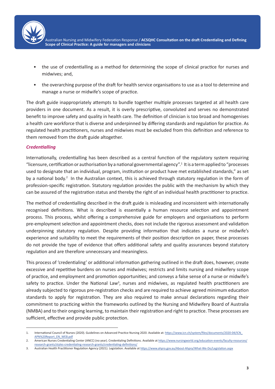

Australian Nursing and Midwifery Federation Response / **ACSQHC Consultation on the draft Credentialing and Defining Scope of Clinical Practice: A guide for managers and clinicians**

- the use of credentialling as a method for determining the scope of clinical practice for nurses and midwives; and,
- the overarching purpose of the draft for health service organisations to use as a tool to determine and manage a nurse or midwife's scope of practice.

The draft guide inappropriately attempts to bundle together multiple processes targeted at all health care providers in one document. As a result, it is overly prescriptive, convoluted and serves no demonstrated benefit to improve safety and quality in health care. The definition of clinician is too broad and homogenises a health care workforce that is diverse and underpinned by differing standards and regulation for practice. As regulated health practitioners, nurses and midwives must be excluded from this definition and reference to them removed from the draft guide altogether.

#### *Credentialling*

Internationally, credentialling has been described as a central function of the regulatory system requiring "licensure, certification or authorisation by a national governmental agency".<sup>1</sup> It is a term applied to "processes used to designate that an individual, program, institution or product have met established standards," as set by a national body.<sup>2</sup> In the Australian context, this is achieved through statutory regulation in the form of profession-specific registration. Statutory regulation provides the public with the mechanism by which they can be assured of the registration status and thereby the right of an individual health practitioner to practice.

The method of credentialling described in the draft guide is misleading and inconsistent with internationally recognised definitions. What is described is essentially a human resource selection and appointment process. This process, whilst offering a comprehensive guide for employers and organisations to perform pre-employment selection and appointment checks, does not include the rigorous assessment and validation underpinning statutory regulation. Despite providing information that indicates a nurse or midwife's experience and suitability to meet the requirements of their position description on paper, these processes do not provide the type of evidence that offers additional safety and quality assurances beyond statutory regulation and are therefore unnecessary and meaningless.

This process of 'credentialing' or additional information gathering outlined in the draft does, however, create excessive and repetitive burdens on nurses and midwives; restricts and limits nursing and midwifery scope of practice, and employment and promotion opportunities; and conveys a false sense of a nurse or midwife's safety to practice. Under the National Law<sup>3</sup>, nurses and midwives, as regulated health practitioners are already subjected to rigorous pre-registration checks and are required to achieve agreed minimum education standards to apply for registration. They are also required to make annual declarations regarding their commitment to practicing within the frameworks outlined by the Nursing and Midwifery Board of Australia (NMBA) and to their ongoing learning, to maintain their registration and right to practice. These processes are sufficient, effective and provide public protection.

<sup>1.</sup> International Council of Nurses (2020). Guidelines on Advanced Practice Nursing 2020. Available at: https://www.icn.ch/system/files/documents/2020-04/ICN APN%20Report\_EN\_WEB.pdf

<sup>2.</sup> American Nurses Credentialing Center (ANCC) (no year). Credentialing Definitions. Available at https://www.nursingworld.org/education-events/faculty-resources/ research-grants/styles-credentialing-research-grants/credentialing-definitions/

<sup>3.</sup> Australian Health Practitioner Regulation Agency (2021). Legislation. Available at https://www.ahpra.gov.au/About-Ahpra/What-We-Do/Legislation.aspx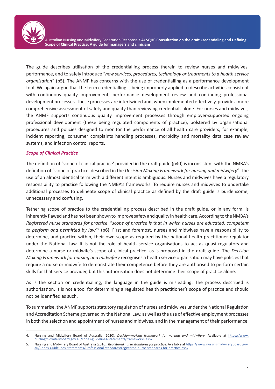Australian Nursing and Midwifery Federation Response / **ACSQHC Consultation on the draft Credentialing and Defining Scope of Clinical Practice: A guide for managers and clinicians**

The guide describes utilisation of the credentialling process therein to review nurses and midwives' performance, and to safely introduce "*new services, procedures, technology or treatments to a health service organisation*" (p5). The ANMF has concerns with the use of credentialling as a performance development tool. We again argue that the term credentialling is being improperly applied to describe activities consistent with continuous quality improvement, performance development review and continuing professional development processes. These processes are intertwined and, when implemented effectively, provide a more comprehensive assessment of safety and quality than reviewing credentials alone. For nurses and midwives, the ANMF supports continuous quality improvement processes through employer-supported ongoing professional development (these being regulated components of practice), bolstered by organisational procedures and policies designed to monitor the performance of all health care providers, for example, incident reporting, consumer complaints handling processes, morbidity and mortality data case review systems, and infection control reports.

#### *Scope of Clinical Practice*

The definition of 'scope of clinical practice' provided in the draft guide (p40) is inconsistent with the NMBA's definition of 'scope of practice' described in the *Decision Making Framework for nursing and midwifery<sup>4</sup>* . The use of an almost identical term with a different intent is ambiguous. Nurses and midwives have a regulatory responsibility to practice following the NMBA's frameworks. To require nurses and midwives to undertake additional processes to delineate scope of clinical practice as defined by the draft guide is burdensome, unnecessary and confusing.

Tethering scope of practice to the credentialling process described in the draft guide, or in any form, is inherently flawed and has not been shown to improve safety and quality in health care. According to the NMBA's *Registered nurse standards for practice*, "*scope of practice is that in which nurses are educated, competent*  to perform and permitted by law"<sup>5</sup> (p6). First and foremost, nurses and midwives have a responsibility to determine, and practice within, their own scope as required by the national health practitioner regulator under the National Law. It is not the role of health service organisations to act as quasi regulators and determine a nurse or midwife's scope of clinical practice, as is proposed in the draft guide. The *Decision Making Framework for nursing and midwifery* recognises a health service organisation may have policies that require a nurse or midwife to demonstrate their competence before they are authorised to perform certain skills for that service provider, but this authorisation does not determine their scope of practice alone.

As is the section on credentialling, the language in the guide is misleading. The process described is authorisation. It is not a tool for determining a regulated health practitioner's scope of practice and should not be identified as such.

To summarise, the ANMF supports statutory regulation of nurses and midwives under the National Regulation and Accreditation Scheme governed by the National Law, as well as the use of effective employment processes in both the selection and appointment of nurses and midwives, and in the management of their performance.

<sup>4.</sup> Nursing and Midwifery Board of Australia (2020). *Decision-making framework for nursing and midwifery*. Available at https://www. nursingmidwiferyboard.gov.au/codes-guidelines-statements/frameworks.aspx

<sup>5.</sup> Nursing and Midwifery Board of Australia (2016). *Registered nurse standards for practice*. Available at https://www.nursingmidwiferyboard.gov. au/Codes-Guidelines-Statements/Professional-standards/registered-nurse-standards-for-practice.aspx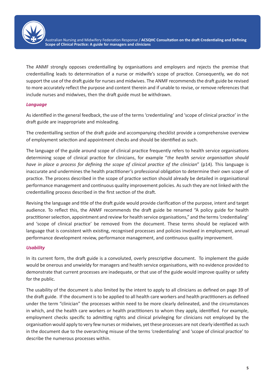

Australian Nursing and Midwifery Federation Response / **ACSQHC Consultation on the draft Credentialing and Defining Scope of Clinical Practice: A guide for managers and clinicians**

The ANMF strongly opposes credentialling by organisations and employers and rejects the premise that credentialling leads to determination of a nurse or midwife's scope of practice. Consequently, we do not support the use of the draft guide for nurses and midwives. The ANMF recommends the draft guide be revised to more accurately reflect the purpose and content therein and if unable to revise, or remove references that include nurses and midwives, then the draft guide must be withdrawn.

#### *Language*

As identified in the general feedback, the use of the terms 'credentialing' and 'scope of clinical practice' in the draft guide are inappropriate and misleading.

The credentialling section of the draft guide and accompanying checklist provide a comprehensive overview of employment selection and appointment checks and should be identified as such.

The language of the guide around scope of clinical practice frequently refers to health service organisations determining scope of clinical practice for clinicians, for example "*the health service organisation should have in place a process for defining the scope of clinical practice of the clinician*" (p14). This language is inaccurate and undermines the health practitioner's professional obligation to determine their own scope of practice. The process described in the scope of practice section should already be detailed in organisational performance management and continuous quality improvement policies. As such they are not linked with the credentialling process described in the first section of the draft.

Revising the language and title of the draft guide would provide clarification of the purpose, intent and target audience. To reflect this, the ANMF recommends the draft guide be renamed "A policy guide for health practitioner selection, appointment and review for health service organisations," and the terms 'credentialing' and 'scope of clinical practice' be removed from the document. These terms should be replaced with language that is consistent with existing, recognised processes and policies involved in employment, annual performance development review, performance management, and continuous quality improvement.

#### *Usability*

In its current form, the draft guide is a convoluted, overly prescriptive document. To implement the guide would be onerous and unwieldy for managers and health service organisations, with no evidence provided to demonstrate that current processes are inadequate, or that use of the guide would improve quality or safety for the public.

The usability of the document is also limited by the intent to apply to all clinicians as defined on page 39 of the draft guide. If the document is to be applied to all health care workers and health practitioners as defined under the term "clinician" the processes within need to be more clearly delineated, and the circumstances in which, and the health care workers or health practitioners to whom they apply, identified. For example, employment checks specific to admitting rights and clinical privileging for clinicians not employed by the organisation would apply to very few nurses or midwives, yet these processes are not clearly identified as such in the document due to the overarching misuse of the terms 'credentialing' and 'scope of clinical practice' to describe the numerous processes within.